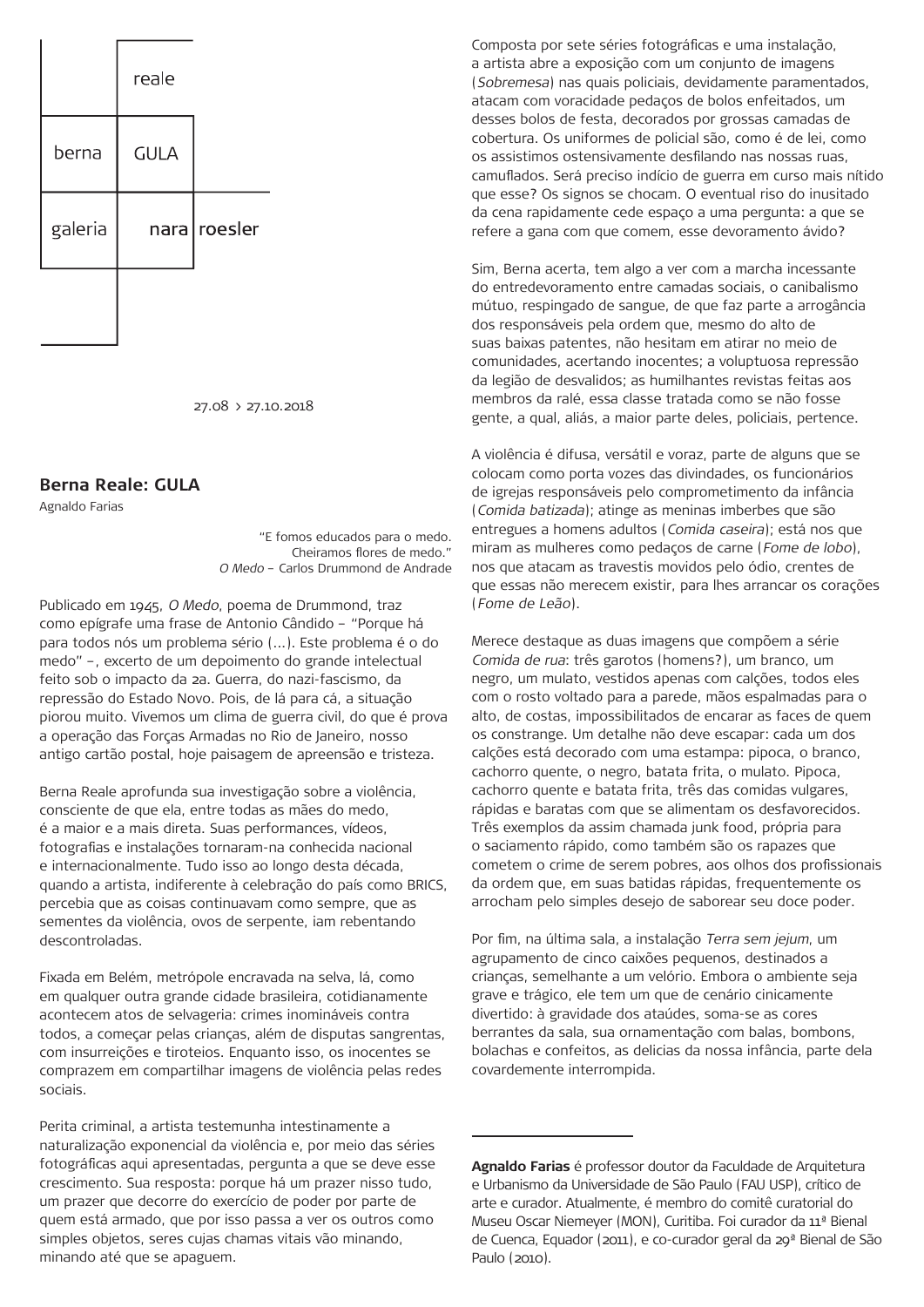

27.08 > 27.10.2018

## **Berna Reale: GULA**

Agnaldo Farias

"E fomos educados para o medo. Cheiramos flores de medo." O Medo – Carlos Drummond de Andrade

Publicado em 1945, O Medo, poema de Drummond, traz como epígrafe uma frase de Antonio Cândido – "Porque há para todos nós um problema sério (...). Este problema é o do medo" –, excerto de um depoimento do grande intelectual feito sob o impacto da 2a. Guerra, do nazi-fascismo, da repressão do Estado Novo. Pois, de lá para cá, a situação piorou muito. Vivemos um clima de guerra civil, do que é prova a operação das Forças Armadas no Rio de Janeiro, nosso antigo cartão postal, hoje paisagem de apreensão e tristeza.

Berna Reale aprofunda sua investigação sobre a violência, consciente de que ela, entre todas as mães do medo, é a maior e a mais direta. Suas performances, vídeos, fotografias e instalações tornaram-na conhecida nacional e internacionalmente. Tudo isso ao longo desta década, quando a artista, indiferente à celebração do país como BRICS, percebia que as coisas continuavam como sempre, que as sementes da violência, ovos de serpente, iam rebentando descontroladas.

Fixada em Belém, metrópole encravada na selva, lá, como em qualquer outra grande cidade brasileira, cotidianamente acontecem atos de selvageria: crimes inomináveis contra todos, a começar pelas crianças, além de disputas sangrentas, com insurreições e tiroteios. Enquanto isso, os inocentes se comprazem em compartilhar imagens de violência pelas redes sociais.

Perita criminal, a artista testemunha intestinamente a naturalização exponencial da violência e, por meio das séries fotográficas aqui apresentadas, pergunta a que se deve esse crescimento. Sua resposta: porque há um prazer nisso tudo, um prazer que decorre do exercício de poder por parte de quem está armado, que por isso passa a ver os outros como simples objetos, seres cujas chamas vitais vão minando, minando até que se apaguem.

Composta por sete séries fotográficas e uma instalação, a artista abre a exposição com um conjunto de imagens (Sobremesa) nas quais policiais, devidamente paramentados, atacam com voracidade pedaços de bolos enfeitados, um desses bolos de festa, decorados por grossas camadas de cobertura. Os uniformes de policial são, como é de lei, como os assistimos ostensivamente desfilando nas nossas ruas, camuflados. Será preciso indício de guerra em curso mais nítido que esse? Os signos se chocam. O eventual riso do inusitado da cena rapidamente cede espaço a uma pergunta: a que se refere a gana com que comem, esse devoramento ávido?

Sim, Berna acerta, tem algo a ver com a marcha incessante do entredevoramento entre camadas sociais, o canibalismo mútuo, respingado de sangue, de que faz parte a arrogância dos responsáveis pela ordem que, mesmo do alto de suas baixas patentes, não hesitam em atirar no meio de comunidades, acertando inocentes; a voluptuosa repressão da legião de desvalidos; as humilhantes revistas feitas aos membros da ralé, essa classe tratada como se não fosse gente, a qual, aliás, a maior parte deles, policiais, pertence.

A violência é difusa, versátil e voraz, parte de alguns que se colocam como porta vozes das divindades, os funcionários de igrejas responsáveis pelo comprometimento da infância (Comida batizada); atinge as meninas imberbes que são entregues a homens adultos (Comida caseira); está nos que miram as mulheres como pedaços de carne (Fome de lobo), nos que atacam as travestis movidos pelo ódio, crentes de que essas não merecem existir, para lhes arrancar os corações (Fome de Leão).

Merece destaque as duas imagens que compõem a série Comida de rua: três garotos (homens?), um branco, um negro, um mulato, vestidos apenas com calções, todos eles com o rosto voltado para a parede, mãos espalmadas para o alto, de costas, impossibilitados de encarar as faces de quem os constrange. Um detalhe não deve escapar: cada um dos calções está decorado com uma estampa: pipoca, o branco, cachorro quente, o negro, batata frita, o mulato. Pipoca, cachorro quente e batata frita, três das comidas vulgares, rápidas e baratas com que se alimentam os desfavorecidos. Três exemplos da assim chamada junk food, própria para o saciamento rápido, como também são os rapazes que cometem o crime de serem pobres, aos olhos dos profissionais da ordem que, em suas batidas rápidas, frequentemente os arrocham pelo simples desejo de saborear seu doce poder.

Por fim, na última sala, a instalação Terra sem jejum, um agrupamento de cinco caixões pequenos, destinados a crianças, semelhante a um velório. Embora o ambiente seja grave e trágico, ele tem um que de cenário cinicamente divertido: à gravidade dos ataúdes, soma-se as cores berrantes da sala, sua ornamentação com balas, bombons, bolachas e confeitos, as delicias da nossa infância, parte dela covardemente interrompida.

**Agnaldo Farias** é professor doutor da Faculdade de Arquitetura e Urbanismo da Universidade de São Paulo (FAU USP), crítico de arte e curador. Atualmente, é membro do comitê curatorial do Museu Oscar Niemeyer (MON), Curitiba. Foi curador da 11ª Bienal de Cuenca, Equador (2011), e co-curador geral da 29ª Bienal de São Paulo (2010).